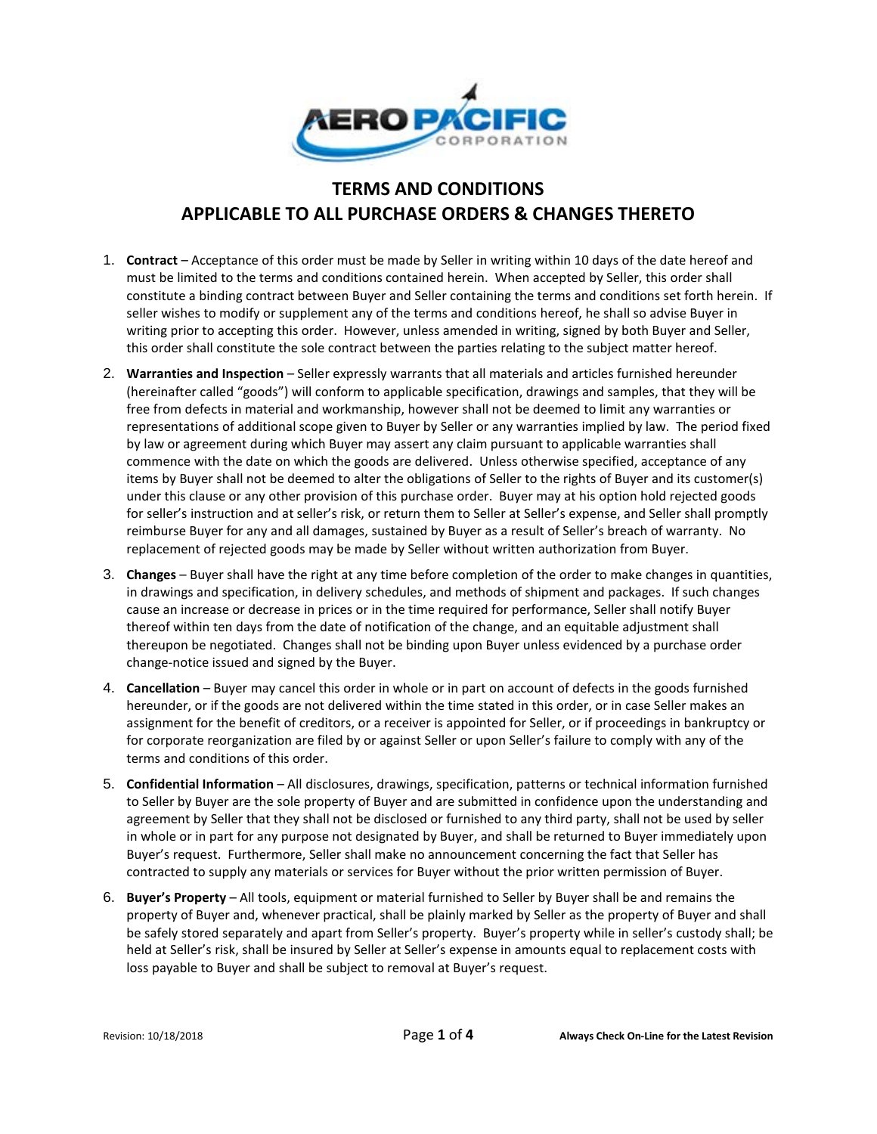

## **TERMS AND CONDITIONS APPLICABLE TO ALL PURCHASE ORDERS & CHANGES THERETO**

- 1. **Contract** Acceptance of this order must be made by Seller in writing within 10 days of the date hereof and must be limited to the terms and conditions contained herein. When accepted by Seller, this order shall constitute a binding contract between Buyer and Seller containing the terms and conditions set forth herein. If seller wishes to modify or supplement any of the terms and conditions hereof, he shall so advise Buyer in writing prior to accepting this order. However, unless amended in writing, signed by both Buyer and Seller, this order shall constitute the sole contract between the parties relating to the subject matter hereof.
- 2. **Warranties and Inspection** Seller expressly warrants that all materials and articles furnished hereunder (hereinafter called "goods") will conform to applicable specification, drawings and samples, that they will be free from defects in material and workmanship, however shall not be deemed to limit any warranties or representations of additional scope given to Buyer by Seller or any warranties implied by law. The period fixed by law or agreement during which Buyer may assert any claim pursuant to applicable warranties shall commence with the date on which the goods are delivered. Unless otherwise specified, acceptance of any items by Buyer shall not be deemed to alter the obligations of Seller to the rights of Buyer and its customer(s) under this clause or any other provision of this purchase order. Buyer may at his option hold rejected goods for seller's instruction and at seller's risk, or return them to Seller at Seller's expense, and Seller shall promptly reimburse Buyer for any and all damages, sustained by Buyer as a result of Seller's breach of warranty. No replacement of rejected goods may be made by Seller without written authorization from Buyer.
- 3. **Changes**  Buyer shall have the right at any time before completion of the order to make changes in quantities, in drawings and specification, in delivery schedules, and methods of shipment and packages. If such changes cause an increase or decrease in prices or in the time required for performance, Seller shall notify Buyer thereof within ten days from the date of notification of the change, and an equitable adjustment shall thereupon be negotiated. Changes shall not be binding upon Buyer unless evidenced by a purchase order change-notice issued and signed by the Buyer.
- 4. **Cancellation**  Buyer may cancel this order in whole or in part on account of defects in the goods furnished hereunder, or if the goods are not delivered within the time stated in this order, or in case Seller makes an assignment for the benefit of creditors, or a receiver is appointed for Seller, or if proceedings in bankruptcy or for corporate reorganization are filed by or against Seller or upon Seller's failure to comply with any of the terms and conditions of this order.
- 5. **Confidential Information**  All disclosures, drawings, specification, patterns or technical information furnished to Seller by Buyer are the sole property of Buyer and are submitted in confidence upon the understanding and agreement by Seller that they shall not be disclosed or furnished to any third party, shall not be used by seller in whole or in part for any purpose not designated by Buyer, and shall be returned to Buyer immediately upon Buyer's request. Furthermore, Seller shall make no announcement concerning the fact that Seller has contracted to supply any materials or services for Buyer without the prior written permission of Buyer.
- 6. **Buyer's Property**  All tools, equipment or material furnished to Seller by Buyer shall be and remains the property of Buyer and, whenever practical, shall be plainly marked by Seller as the property of Buyer and shall be safely stored separately and apart from Seller's property. Buyer's property while in seller's custody shall; be held at Seller's risk, shall be insured by Seller at Seller's expense in amounts equal to replacement costs with loss payable to Buyer and shall be subject to removal at Buyer's request.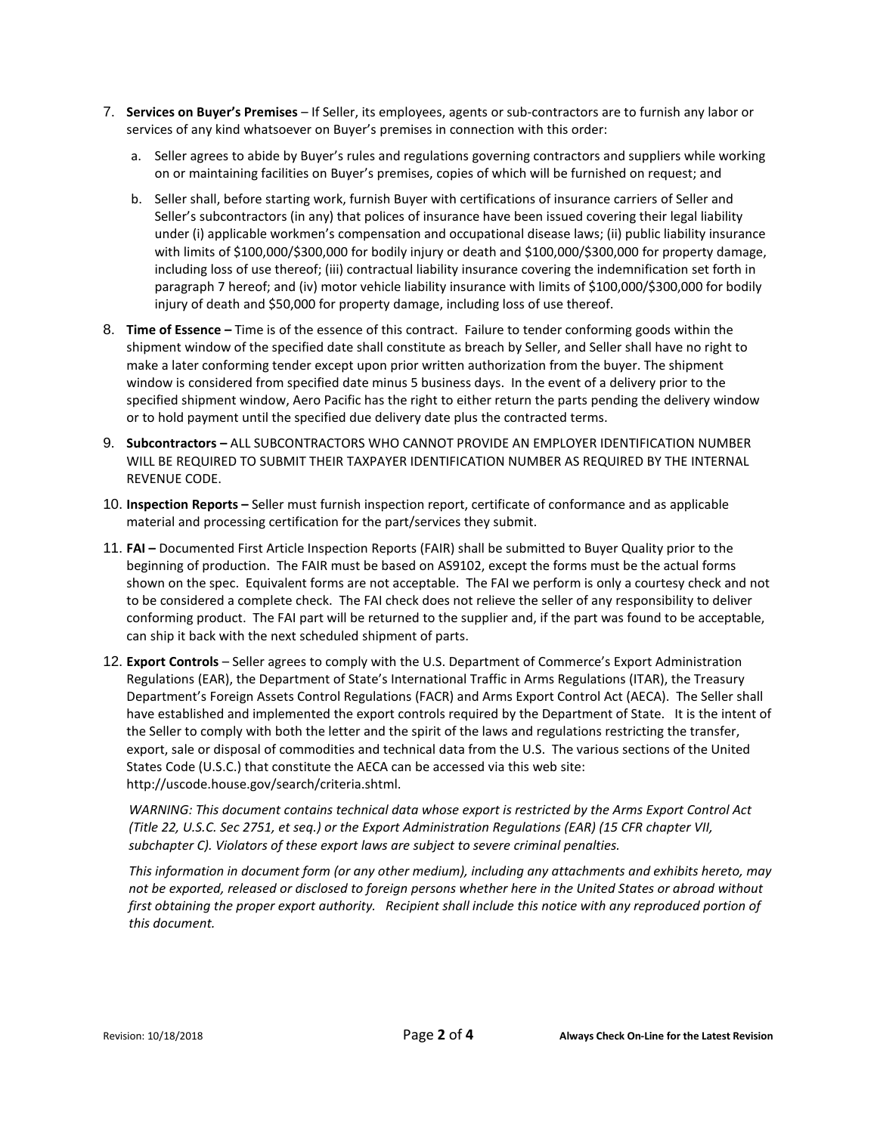- 7. **Services on Buyer's Premises**  If Seller, its employees, agents or sub-contractors are to furnish any labor or services of any kind whatsoever on Buyer's premises in connection with this order:
	- a. Seller agrees to abide by Buyer's rules and regulations governing contractors and suppliers while working on or maintaining facilities on Buyer's premises, copies of which will be furnished on request; and
	- b. Seller shall, before starting work, furnish Buyer with certifications of insurance carriers of Seller and Seller's subcontractors (in any) that polices of insurance have been issued covering their legal liability under (i) applicable workmen's compensation and occupational disease laws; (ii) public liability insurance with limits of \$100,000/\$300,000 for bodily injury or death and \$100,000/\$300,000 for property damage, including loss of use thereof; (iii) contractual liability insurance covering the indemnification set forth in paragraph 7 hereof; and (iv) motor vehicle liability insurance with limits of \$100,000/\$300,000 for bodily injury of death and \$50,000 for property damage, including loss of use thereof.
- 8. **Time of Essence –** Time is of the essence of this contract. Failure to tender conforming goods within the shipment window of the specified date shall constitute as breach by Seller, and Seller shall have no right to make a later conforming tender except upon prior written authorization from the buyer. The shipment window is considered from specified date minus 5 business days. In the event of a delivery prior to the specified shipment window, Aero Pacific has the right to either return the parts pending the delivery window or to hold payment until the specified due delivery date plus the contracted terms.
- 9. **Subcontractors –** ALL SUBCONTRACTORS WHO CANNOT PROVIDE AN EMPLOYER IDENTIFICATION NUMBER WILL BE REQUIRED TO SUBMIT THEIR TAXPAYER IDENTIFICATION NUMBER AS REQUIRED BY THE INTERNAL REVENUE CODE.
- 10. **Inspection Reports –** Seller must furnish inspection report, certificate of conformance and as applicable material and processing certification for the part/services they submit.
- 11. **FAI –** Documented First Article Inspection Reports (FAIR) shall be submitted to Buyer Quality prior to the beginning of production. The FAIR must be based on AS9102, except the forms must be the actual forms shown on the spec. Equivalent forms are not acceptable. The FAI we perform is only a courtesy check and not to be considered a complete check. The FAI check does not relieve the seller of any responsibility to deliver conforming product. The FAI part will be returned to the supplier and, if the part was found to be acceptable, can ship it back with the next scheduled shipment of parts.
- 12. **Export Controls** Seller agrees to comply with the U.S. Department of Commerce's Export Administration Regulations (EAR), the Department of State's International Traffic in Arms Regulations (ITAR), the Treasury Department's Foreign Assets Control Regulations (FACR) and Arms Export Control Act (AECA). The Seller shall have established and implemented the export controls required by the Department of State. It is the intent of the Seller to comply with both the letter and the spirit of the laws and regulations restricting the transfer, export, sale or disposal of commodities and technical data from the U.S. The various sections of the United States Code (U.S.C.) that constitute the AECA can be accessed via this web site: [http://uscode.house.gov/search/criteria.shtml.](http://uscode.house.gov/search/criteria.shtml)

*WARNING: This document contains technical data whose export is restricted by the Arms Export Control Act (Title 22, U.S.C. Sec 2751, et seq.) or the Export Administration Regulations (EAR) (15 CFR chapter VII, subchapter C). Violators of these export laws are subject to severe criminal penalties.* 

*This information in document form (or any other medium), including any attachments and exhibits hereto, may not be exported, released or disclosed to foreign persons whether here in the United States or abroad without*  first obtaining the proper export authority. Recipient shall include this notice with any reproduced portion of *this document.*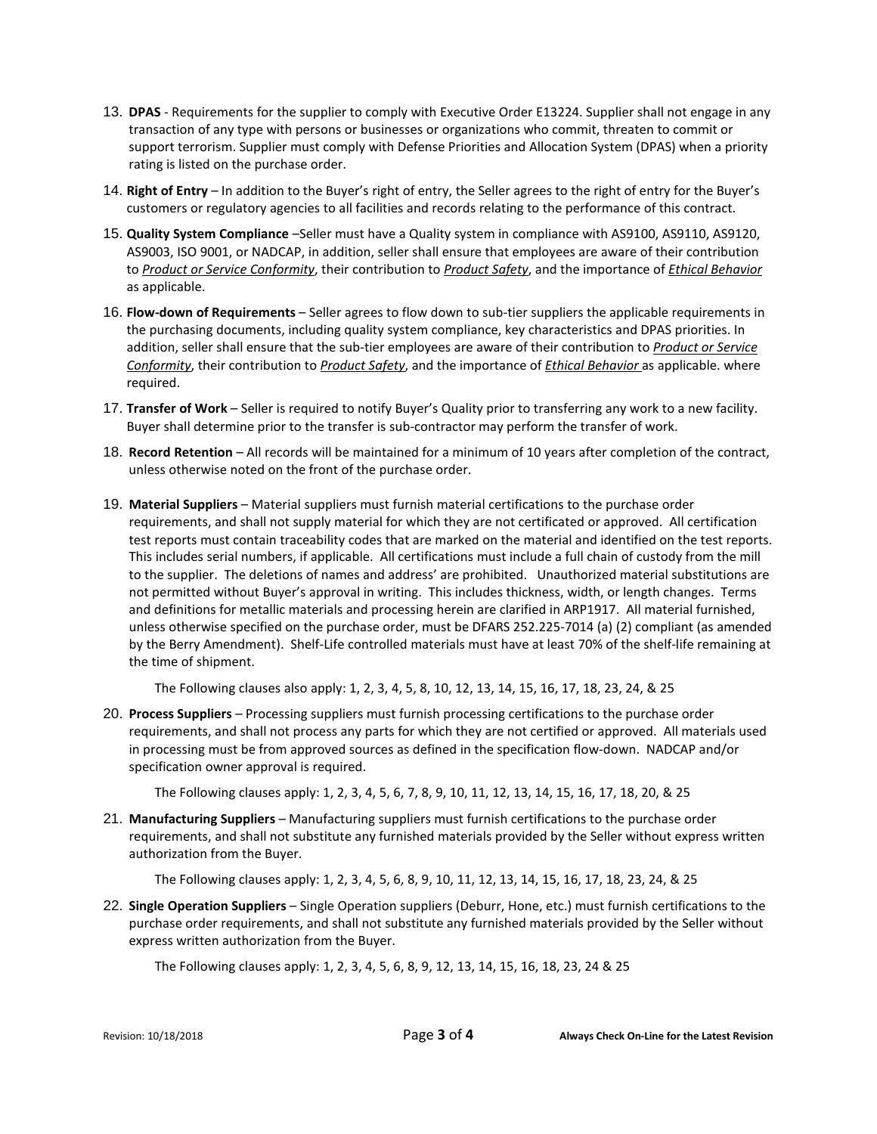- 13. **DPAS** Requirements for the supplier to comply with Executive Order E13224. Supplier shall not engage in any transaction of any type with persons or businesses or organizations who commit, threaten to commit or support terrorism. Supplier must comply with Defense Priorities and Allocation System (DPAS) when a priority rating is listed on the purchase order.
- 14. **Right of Entry** In addition to the Buyer's right of entry, the Seller agrees to the right of entry for the Buyer's customers or regulatory agencies to all facilities and records relating to the performance of this contract.
- 15. **Quality System Compliance** –Seller must have a Quality system in compliance with AS9100, AS9110, AS9120, AS9003, ISO 9001, or NADCAP, in addition, seller shall ensure that employees are aware of their contribution to *Product or Service Conformity*, their contribution to *Product Safety*, and the importance of *Ethical Behavior* as applicable.
- 16. **Flow-down of Requirements** Seller agrees to flow down to sub-tier suppliers the applicable requirements in the purchasing documents, including quality system compliance, key characteristics and DPAS priorities. In addition, seller shall ensure that the sub-tier employees are aware of their contribution to *Product or Service Conformity*, their contribution to *Product Safety*, and the importance of *Ethical Behavior* as applicable. where required.
- 17. **Transfer of Work** Seller is required to notify Buyer's Quality prior to transferring any work to a new facility. Buyer shall determine prior to the transfer is sub-contractor may perform the transfer of work.
- 18. **Record Retention** All records will be maintained for a minimum of 10 years after completion of the contract, unless otherwise noted on the front of the purchase order.
- 19. **Material Suppliers**  Material suppliers must furnish material certifications to the purchase order requirements, and shall not supply material for which they are not certificated or approved. All certification test reports must contain traceability codes that are marked on the material and identified on the test reports. This includes serial numbers, if applicable. All certifications must include a full chain of custody from the mill to the supplier. The deletions of names and address' are prohibited. Unauthorized material substitutions are not permitted without Buyer's approval in writing. This includes thickness, width, or length changes. Terms and definitions for metallic materials and processing herein are clarified in ARP1917. All material furnished, unless otherwise specified on the purchase order, must be DFARS 252.225-7014 (a) (2) compliant (as amended by the Berry Amendment). Shelf-Life controlled materials must have at least 70% of the shelf-life remaining at the time of shipment.

The Following clauses also apply: 1, 2, 3, 4, 5, 8, 10, 12, 13, 14, 15, 16, 17, 18, 23, 24, & 25

20. **Process Suppliers** – Processing suppliers must furnish processing certifications to the purchase order requirements, and shall not process any parts for which they are not certified or approved. All materials used in processing must be from approved sources as defined in the specification flow-down. NADCAP and/or specification owner approval is required.

The Following clauses apply: 1, 2, 3, 4, 5, 6, 7, 8, 9, 10, 11, 12, 13, 14, 15, 16, 17, 18, 20, & 25

21. **Manufacturing Suppliers** – Manufacturing suppliers must furnish certifications to the purchase order requirements, and shall not substitute any furnished materials provided by the Seller without express written authorization from the Buyer.

The Following clauses apply: 1, 2, 3, 4, 5, 6, 8, 9, 10, 11, 12, 13, 14, 15, 16, 17, 18, 23, 24, & 25

22. **Single Operation Suppliers** – Single Operation suppliers (Deburr, Hone, etc.) must furnish certifications to the purchase order requirements, and shall not substitute any furnished materials provided by the Seller without express written authorization from the Buyer.

The Following clauses apply: 1, 2, 3, 4, 5, 6, 8, 9, 12, 13, 14, 15, 16, 18, 23, 24 & 25